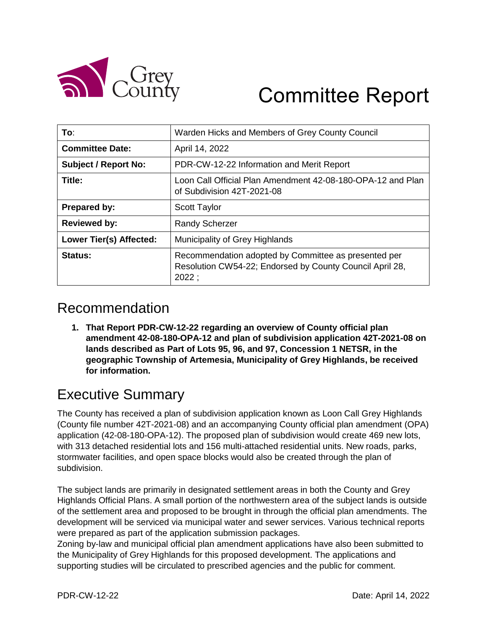

# Committee Report

| To∶                         | Warden Hicks and Members of Grey County Council                                                                           |
|-----------------------------|---------------------------------------------------------------------------------------------------------------------------|
| <b>Committee Date:</b>      | April 14, 2022                                                                                                            |
| <b>Subject / Report No:</b> | PDR-CW-12-22 Information and Merit Report                                                                                 |
| Title:                      | Loon Call Official Plan Amendment 42-08-180-OPA-12 and Plan<br>of Subdivision 42T-2021-08                                 |
| <b>Prepared by:</b>         | <b>Scott Taylor</b>                                                                                                       |
| <b>Reviewed by:</b>         | <b>Randy Scherzer</b>                                                                                                     |
| Lower Tier(s) Affected:     | Municipality of Grey Highlands                                                                                            |
| Status:                     | Recommendation adopted by Committee as presented per<br>Resolution CW54-22; Endorsed by County Council April 28,<br>2022: |

## Recommendation

**1. That Report PDR-CW-12-22 regarding an overview of County official plan amendment 42-08-180-OPA-12 and plan of subdivision application 42T-2021-08 on lands described as Part of Lots 95, 96, and 97, Concession 1 NETSR, in the geographic Township of Artemesia, Municipality of Grey Highlands, be received for information.**

# Executive Summary

The County has received a plan of subdivision application known as Loon Call Grey Highlands (County file number 42T-2021-08) and an accompanying County official plan amendment (OPA) application (42-08-180-OPA-12). The proposed plan of subdivision would create 469 new lots, with 313 detached residential lots and 156 multi-attached residential units. New roads, parks, stormwater facilities, and open space blocks would also be created through the plan of subdivision.

The subject lands are primarily in designated settlement areas in both the County and Grey Highlands Official Plans. A small portion of the northwestern area of the subject lands is outside of the settlement area and proposed to be brought in through the official plan amendments. The development will be serviced via municipal water and sewer services. Various technical reports were prepared as part of the application submission packages.

Zoning by-law and municipal official plan amendment applications have also been submitted to the Municipality of Grey Highlands for this proposed development. The applications and supporting studies will be circulated to prescribed agencies and the public for comment.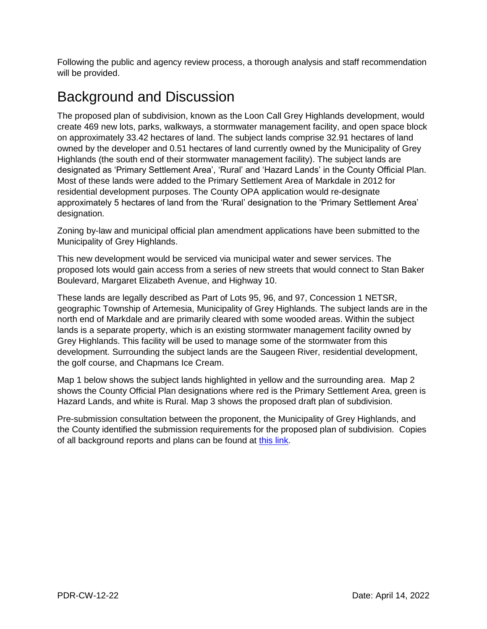Following the public and agency review process, a thorough analysis and staff recommendation will be provided.

## Background and Discussion

The proposed plan of subdivision, known as the Loon Call Grey Highlands development, would create 469 new lots, parks, walkways, a stormwater management facility, and open space block on approximately 33.42 hectares of land. The subject lands comprise 32.91 hectares of land owned by the developer and 0.51 hectares of land currently owned by the Municipality of Grey Highlands (the south end of their stormwater management facility). The subject lands are designated as 'Primary Settlement Area', 'Rural' and 'Hazard Lands' in the County Official Plan. Most of these lands were added to the Primary Settlement Area of Markdale in 2012 for residential development purposes. The County OPA application would re-designate approximately 5 hectares of land from the 'Rural' designation to the 'Primary Settlement Area' designation.

Zoning by-law and municipal official plan amendment applications have been submitted to the Municipality of Grey Highlands.

This new development would be serviced via municipal water and sewer services. The proposed lots would gain access from a series of new streets that would connect to Stan Baker Boulevard, Margaret Elizabeth Avenue, and Highway 10.

These lands are legally described as Part of Lots 95, 96, and 97, Concession 1 NETSR, geographic Township of Artemesia, Municipality of Grey Highlands. The subject lands are in the north end of Markdale and are primarily cleared with some wooded areas. Within the subject lands is a separate property, which is an existing stormwater management facility owned by Grey Highlands. This facility will be used to manage some of the stormwater from this development. Surrounding the subject lands are the Saugeen River, residential development, the golf course, and Chapmans Ice Cream.

Map 1 below shows the subject lands highlighted in yellow and the surrounding area. Map 2 shows the County Official Plan designations where red is the Primary Settlement Area, green is Hazard Lands, and white is Rural. Map 3 shows the proposed draft plan of subdivision.

Pre-submission consultation between the proponent, the Municipality of Grey Highlands, and the County identified the submission requirements for the proposed plan of subdivision. Copies of all background reports and plans can be found at [this link.](https://www.grey.ca/planning-development/planning-applications)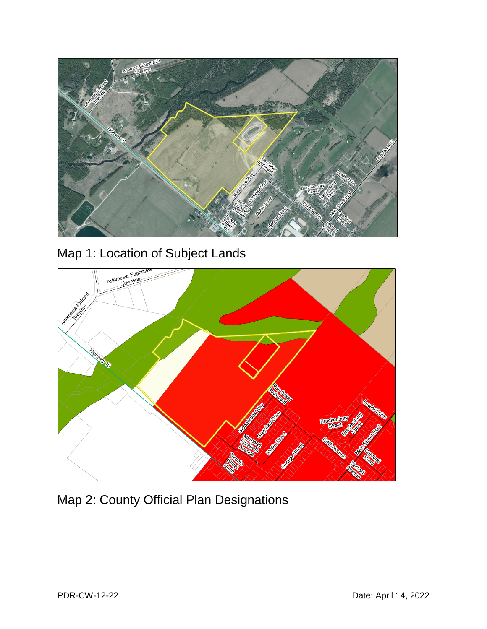





Map 2: County Official Plan Designations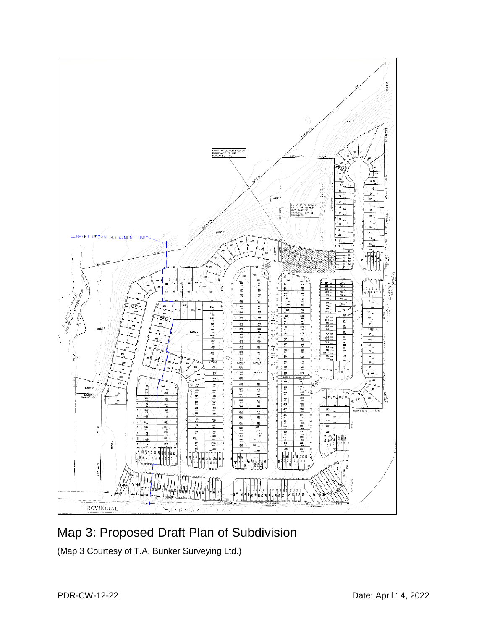

## Map 3: Proposed Draft Plan of Subdivision

(Map 3 Courtesy of T.A. Bunker Surveying Ltd.)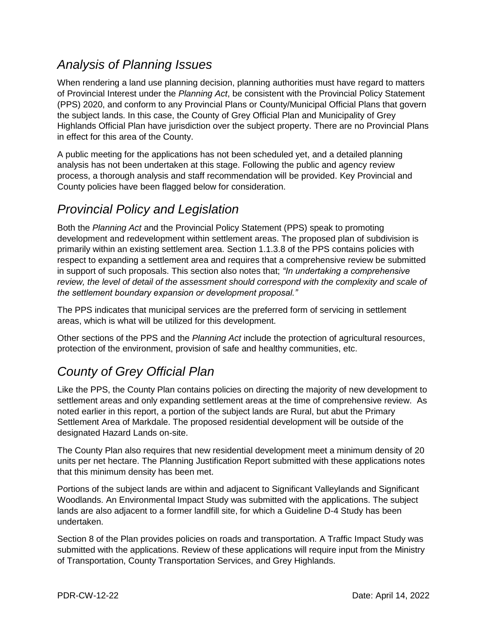#### *Analysis of Planning Issues*

When rendering a land use planning decision, planning authorities must have regard to matters of Provincial Interest under the *Planning Act*, be consistent with the Provincial Policy Statement (PPS) 2020, and conform to any Provincial Plans or County/Municipal Official Plans that govern the subject lands. In this case, the County of Grey Official Plan and Municipality of Grey Highlands Official Plan have jurisdiction over the subject property. There are no Provincial Plans in effect for this area of the County.

A public meeting for the applications has not been scheduled yet, and a detailed planning analysis has not been undertaken at this stage. Following the public and agency review process, a thorough analysis and staff recommendation will be provided. Key Provincial and County policies have been flagged below for consideration.

#### *Provincial Policy and Legislation*

Both the *Planning Act* and the Provincial Policy Statement (PPS) speak to promoting development and redevelopment within settlement areas. The proposed plan of subdivision is primarily within an existing settlement area. Section 1.1.3.8 of the PPS contains policies with respect to expanding a settlement area and requires that a comprehensive review be submitted in support of such proposals. This section also notes that; *"In undertaking a comprehensive*  review, the level of detail of the assessment should correspond with the complexity and scale of *the settlement boundary expansion or development proposal."*

The PPS indicates that municipal services are the preferred form of servicing in settlement areas, which is what will be utilized for this development.

Other sections of the PPS and the *Planning Act* include the protection of agricultural resources, protection of the environment, provision of safe and healthy communities, etc.

## *County of Grey Official Plan*

Like the PPS, the County Plan contains policies on directing the majority of new development to settlement areas and only expanding settlement areas at the time of comprehensive review. As noted earlier in this report, a portion of the subject lands are Rural, but abut the Primary Settlement Area of Markdale. The proposed residential development will be outside of the designated Hazard Lands on-site.

The County Plan also requires that new residential development meet a minimum density of 20 units per net hectare. The Planning Justification Report submitted with these applications notes that this minimum density has been met.

Portions of the subject lands are within and adjacent to Significant Valleylands and Significant Woodlands. An Environmental Impact Study was submitted with the applications. The subject lands are also adjacent to a former landfill site, for which a Guideline D-4 Study has been undertaken.

Section 8 of the Plan provides policies on roads and transportation. A Traffic Impact Study was submitted with the applications. Review of these applications will require input from the Ministry of Transportation, County Transportation Services, and Grey Highlands.